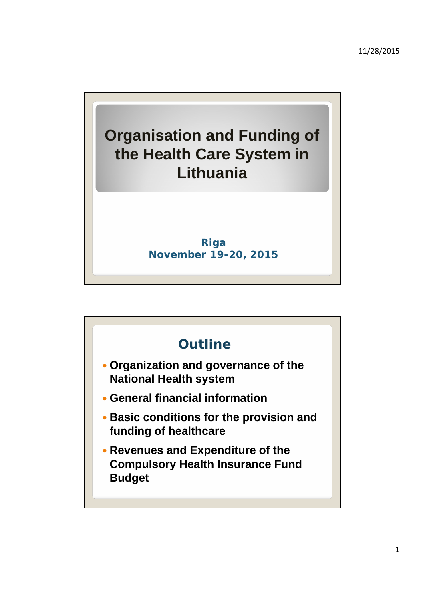

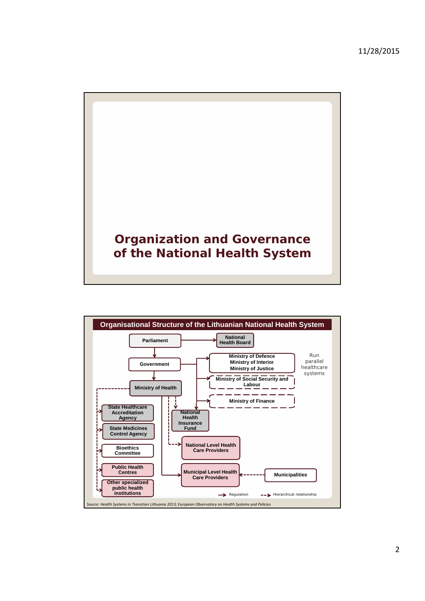



2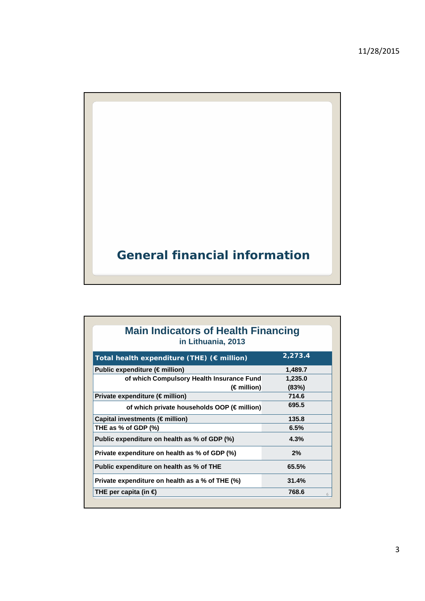

| <b>Main Indicators of Health Financing</b><br>in Lithuania, 2013 |         |
|------------------------------------------------------------------|---------|
| Total health expenditure (THE) $(\epsilon$ million)              | 2,273.4 |
| Public expenditure ( $\notin$ million)                           | 1,489.7 |
| of which Compulsory Health Insurance Fund                        | 1,235.0 |
| (€million)                                                       | (83%)   |
| Private expenditure ( $\notin$ million)                          | 714.6   |
| of which private households OOP (€million)                       | 695.5   |
| Capital investments (€million)                                   | 135.8   |
| THE as $%$ of GDP $(\%)$                                         | 6.5%    |
| Public expenditure on health as % of GDP (%)                     | 4.3%    |
| Private expenditure on health as % of GDP (%)                    | 2%      |
| Public expenditure on health as % of THE                         | 65.5%   |
| Private expenditure on health as a % of THE (%)                  | 31.4%   |
| THE per capita (in $\bigoplus$                                   | 768.6   |
|                                                                  |         |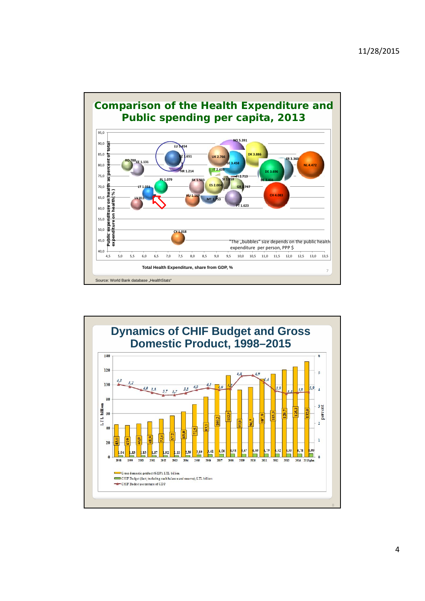

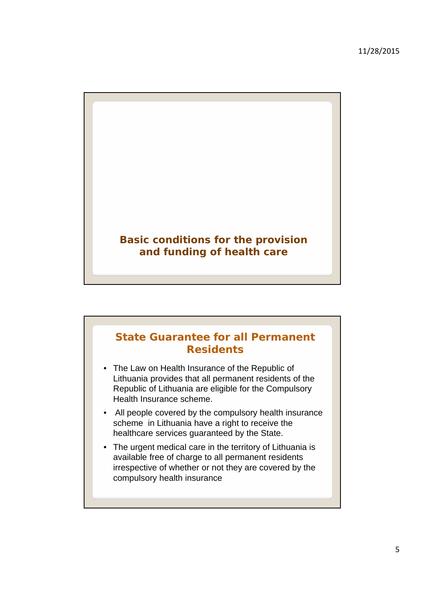

## **State Guarantee for all Permanent Residents**

- The Law on Health Insurance of the Republic of Lithuania provides that all permanent residents of the Republic of Lithuania are eligible for the Compulsory Health Insurance scheme.
- All people covered by the compulsory health insurance scheme in Lithuania have a right to receive the healthcare services guaranteed by the State.
- The urgent medical care in the territory of Lithuania is available free of charge to all permanent residents irrespective of whether or not they are covered by the compulsory health insurance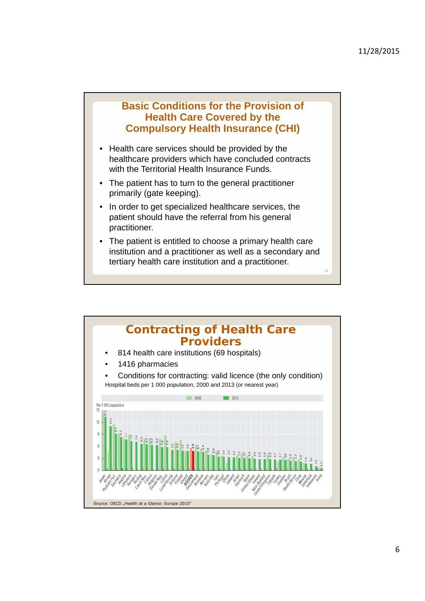11

## **Basic Conditions for the Provision of Health Care Covered by the Compulsory Health Insurance (CHI)**

- Health care services should be provided by the healthcare providers which have concluded contracts with the Territorial Health Insurance Funds.
- The patient has to turn to the general practitioner primarily (gate keeping).
- In order to get specialized healthcare services, the patient should have the referral from his general practitioner.
- The patient is entitled to choose a primary health care institution and a practitioner as well as a secondary and tertiary health care institution and a practitioner.

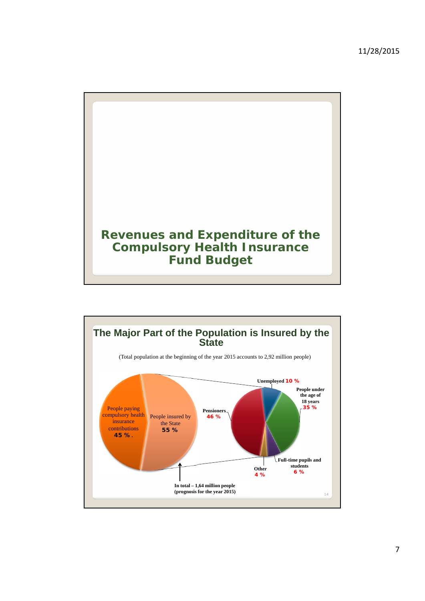

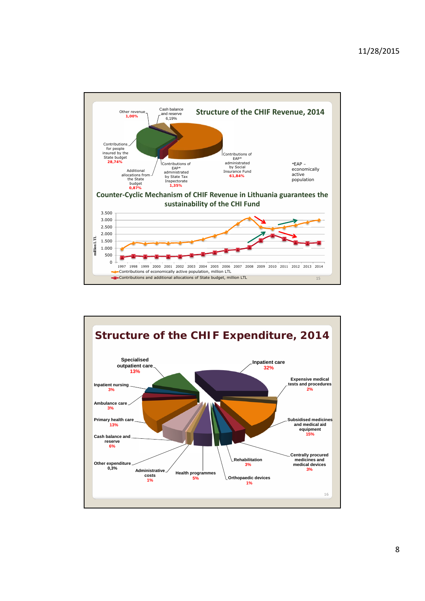![](_page_7_Figure_1.jpeg)

![](_page_7_Figure_2.jpeg)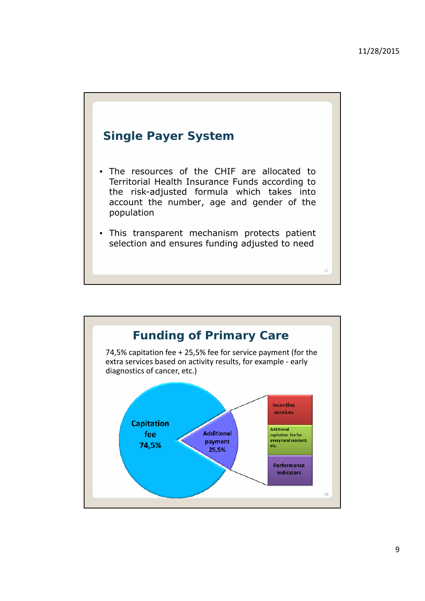17

![](_page_8_Figure_1.jpeg)

- The resources of the CHIF are allocated to Territorial Health Insurance Funds according to the risk-adjusted formula which takes into account the *number*, *age* and *gender* of the population
- This transparent mechanism protects patient selection and ensures funding adjusted to need

![](_page_8_Figure_4.jpeg)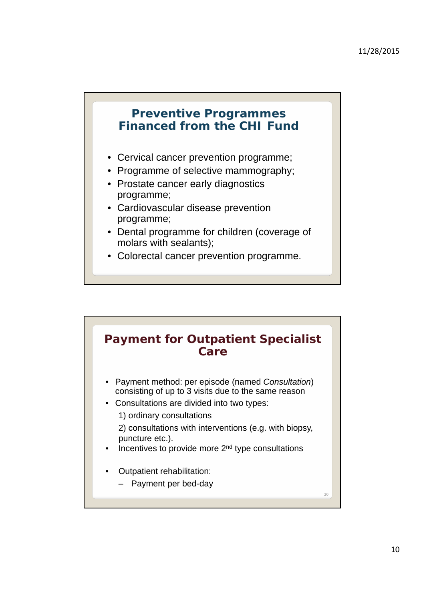## **Preventive Programmes Financed from the CHI Fund**

- Cervical cancer prevention programme;
- Programme of selective mammography;
- Prostate cancer early diagnostics programme;
- Cardiovascular disease prevention programme;
- Dental programme for children (coverage of molars with sealants);
- Colorectal cancer prevention programme.

![](_page_9_Figure_8.jpeg)

- Payment method: per episode (named *Consultation*) consisting of up to 3 visits due to the same reason
- Consultations are divided into two types:
	- 1) ordinary consultations

2) consultations with interventions (e.g. with biopsy, puncture etc.).

- Incentives to provide more 2<sup>nd</sup> type consultations
- Outpatient rehabilitation:
	- Payment per bed-day

 $20$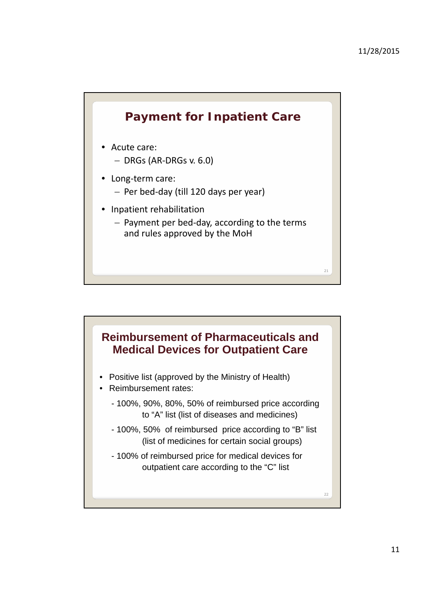![](_page_10_Figure_1.jpeg)

![](_page_10_Figure_2.jpeg)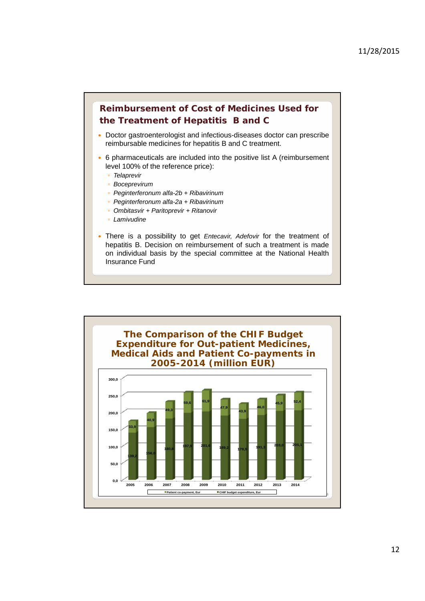![](_page_11_Figure_1.jpeg)

- Doctor gastroenterologist and infectious-diseases doctor can prescribe reimbursable medicines for hepatitis B and C treatment.
- 6 pharmaceuticals are included into the positive list A (reimbursement level 100% of the reference price):
	- *Telaprevir*
	- *Boceprevirum*
	- *Peginterferonum alfa-2b + Ribavirinum*
	- *Peginterferonum alfa-2a + Ribavirinum*
	- *Ombitasvir + Paritoprevir + Ritanovir*
	- *Lamivudine*
- There is a possibility to get *Entecavir, Adefovir* for the treatment of hepatitis B. Decision on reimbursement of such a treatment is made on individual basis by the special committee at the National Health Insurance Fund

![](_page_11_Figure_11.jpeg)